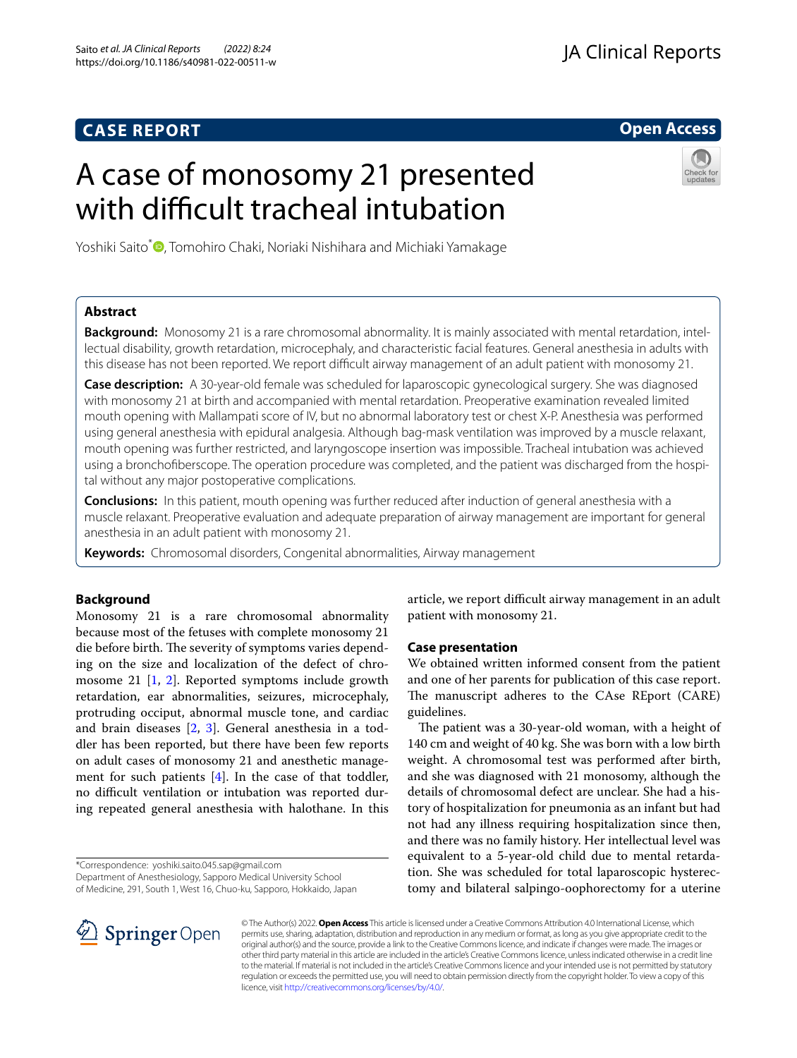## **CASE REPORT**

## **Open Access**

# A case of monosomy 21 presented with difficult tracheal intubation



Yoshiki Saito<sup>\*</sup> [,](http://orcid.org/0000-0001-9327-2993) Tomohiro Chaki, Noriaki Nishihara and Michiaki Yamakage

## **Abstract**

**Background:** Monosomy 21 is a rare chromosomal abnormality. It is mainly associated with mental retardation, intellectual disability, growth retardation, microcephaly, and characteristic facial features. General anesthesia in adults with this disease has not been reported. We report difficult airway management of an adult patient with monosomy 21.

**Case description:** A 30-year-old female was scheduled for laparoscopic gynecological surgery. She was diagnosed with monosomy 21 at birth and accompanied with mental retardation. Preoperative examination revealed limited mouth opening with Mallampati score of IV, but no abnormal laboratory test or chest X-P. Anesthesia was performed using general anesthesia with epidural analgesia. Although bag-mask ventilation was improved by a muscle relaxant, mouth opening was further restricted, and laryngoscope insertion was impossible. Tracheal intubation was achieved using a bronchofberscope. The operation procedure was completed, and the patient was discharged from the hospital without any major postoperative complications.

**Conclusions:** In this patient, mouth opening was further reduced after induction of general anesthesia with a muscle relaxant. Preoperative evaluation and adequate preparation of airway management are important for general anesthesia in an adult patient with monosomy 21.

**Keywords:** Chromosomal disorders, Congenital abnormalities, Airway management

## **Background**

Monosomy 21 is a rare chromosomal abnormality because most of the fetuses with complete monosomy 21 die before birth. The severity of symptoms varies depending on the size and localization of the defect of chromosome 21 [[1,](#page-2-0) [2](#page-2-1)]. Reported symptoms include growth retardation, ear abnormalities, seizures, microcephaly, protruding occiput, abnormal muscle tone, and cardiac and brain diseases [\[2](#page-2-1), [3\]](#page-2-2). General anesthesia in a toddler has been reported, but there have been few reports on adult cases of monosomy 21 and anesthetic management for such patients  $[4]$  $[4]$ . In the case of that toddler, no difficult ventilation or intubation was reported during repeated general anesthesia with halothane. In this

\*Correspondence: yoshiki.saito.045.sap@gmail.com

Department of Anesthesiology, Sapporo Medical University School of Medicine, 291, South 1, West 16, Chuo-ku, Sapporo, Hokkaido, Japan article, we report difficult airway management in an adult patient with monosomy 21.

## **Case presentation**

We obtained written informed consent from the patient and one of her parents for publication of this case report. The manuscript adheres to the CAse REport (CARE) guidelines.

The patient was a 30-year-old woman, with a height of 140 cm and weight of 40 kg. She was born with a low birth weight. A chromosomal test was performed after birth, and she was diagnosed with 21 monosomy, although the details of chromosomal defect are unclear. She had a history of hospitalization for pneumonia as an infant but had not had any illness requiring hospitalization since then, and there was no family history. Her intellectual level was equivalent to a 5-year-old child due to mental retardation. She was scheduled for total laparoscopic hysterectomy and bilateral salpingo-oophorectomy for a uterine



© The Author(s) 2022. **Open Access** This article is licensed under a Creative Commons Attribution 4.0 International License, which permits use, sharing, adaptation, distribution and reproduction in any medium or format, as long as you give appropriate credit to the original author(s) and the source, provide a link to the Creative Commons licence, and indicate if changes were made. The images or other third party material in this article are included in the article's Creative Commons licence, unless indicated otherwise in a credit line to the material. If material is not included in the article's Creative Commons licence and your intended use is not permitted by statutory regulation or exceeds the permitted use, you will need to obtain permission directly from the copyright holder. To view a copy of this licence, visit [http://creativecommons.org/licenses/by/4.0/.](http://creativecommons.org/licenses/by/4.0/)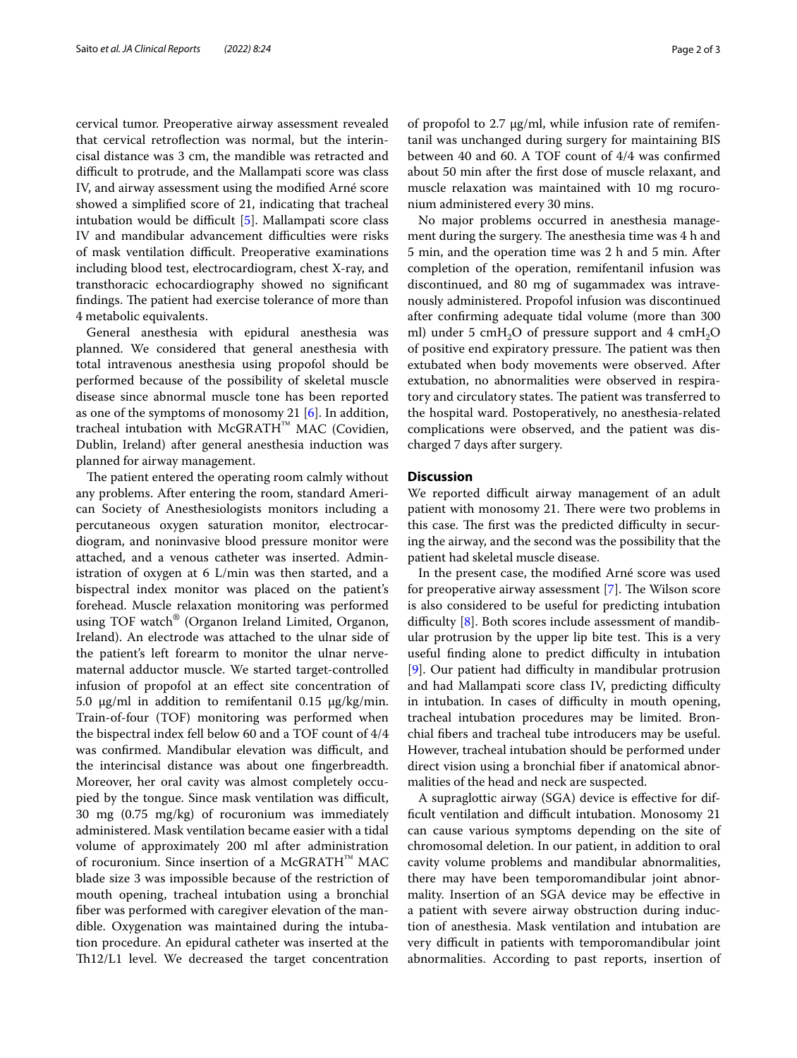cervical tumor. Preoperative airway assessment revealed that cervical retrofection was normal, but the interincisal distance was 3 cm, the mandible was retracted and difficult to protrude, and the Mallampati score was class IV, and airway assessment using the modifed Arné score showed a simplifed score of 21, indicating that tracheal intubation would be difficult  $[5]$  $[5]$  $[5]$ . Mallampati score class IV and mandibular advancement difficulties were risks of mask ventilation difficult. Preoperative examinations including blood test, electrocardiogram, chest X-ray, and transthoracic echocardiography showed no signifcant findings. The patient had exercise tolerance of more than 4 metabolic equivalents.

General anesthesia with epidural anesthesia was planned. We considered that general anesthesia with total intravenous anesthesia using propofol should be performed because of the possibility of skeletal muscle disease since abnormal muscle tone has been reported as one of the symptoms of monosomy 21 [\[6](#page-2-5)]. In addition, tracheal intubation with McGRATH™ MAC (Covidien, Dublin, Ireland) after general anesthesia induction was planned for airway management.

The patient entered the operating room calmly without any problems. After entering the room, standard American Society of Anesthesiologists monitors including a percutaneous oxygen saturation monitor, electrocardiogram, and noninvasive blood pressure monitor were attached, and a venous catheter was inserted. Administration of oxygen at 6 L/min was then started, and a bispectral index monitor was placed on the patient's forehead. Muscle relaxation monitoring was performed using TOF watch® (Organon Ireland Limited, Organon, Ireland). An electrode was attached to the ulnar side of the patient's left forearm to monitor the ulnar nervematernal adductor muscle. We started target-controlled infusion of propofol at an efect site concentration of 5.0 μg/ml in addition to remifentanil 0.15 μg/kg/min. Train-of-four (TOF) monitoring was performed when the bispectral index fell below 60 and a TOF count of 4/4 was confirmed. Mandibular elevation was difficult, and the interincisal distance was about one fngerbreadth. Moreover, her oral cavity was almost completely occupied by the tongue. Since mask ventilation was difficult, 30 mg (0.75 mg/kg) of rocuronium was immediately administered. Mask ventilation became easier with a tidal volume of approximately 200 ml after administration of rocuronium. Since insertion of a McGRATH™ MAC blade size 3 was impossible because of the restriction of mouth opening, tracheal intubation using a bronchial fber was performed with caregiver elevation of the mandible. Oxygenation was maintained during the intubation procedure. An epidural catheter was inserted at the Th12/L1 level. We decreased the target concentration of propofol to 2.7 μg/ml, while infusion rate of remifentanil was unchanged during surgery for maintaining BIS between 40 and 60. A TOF count of 4/4 was confrmed about 50 min after the frst dose of muscle relaxant, and muscle relaxation was maintained with 10 mg rocuronium administered every 30 mins.

No major problems occurred in anesthesia management during the surgery. The anesthesia time was 4 h and 5 min, and the operation time was 2 h and 5 min. After completion of the operation, remifentanil infusion was discontinued, and 80 mg of sugammadex was intravenously administered. Propofol infusion was discontinued after confrming adequate tidal volume (more than 300 ml) under 5 cmH<sub>2</sub>O of pressure support and 4 cmH<sub>2</sub>O of positive end expiratory pressure. The patient was then extubated when body movements were observed. After extubation, no abnormalities were observed in respiratory and circulatory states. The patient was transferred to the hospital ward. Postoperatively, no anesthesia-related complications were observed, and the patient was discharged 7 days after surgery.

#### **Discussion**

We reported difficult airway management of an adult patient with monosomy 21. There were two problems in this case. The first was the predicted difficulty in securing the airway, and the second was the possibility that the patient had skeletal muscle disease.

In the present case, the modifed Arné score was used for preoperative airway assessment [\[7](#page-2-6)]. The Wilson score is also considered to be useful for predicting intubation difficulty  $[8]$  $[8]$ . Both scores include assessment of mandibular protrusion by the upper lip bite test. This is a very useful finding alone to predict difficulty in intubation [[9\]](#page-2-8). Our patient had difficulty in mandibular protrusion and had Mallampati score class IV, predicting difficulty in intubation. In cases of difficulty in mouth opening, tracheal intubation procedures may be limited. Bronchial fbers and tracheal tube introducers may be useful. However, tracheal intubation should be performed under direct vision using a bronchial fber if anatomical abnormalities of the head and neck are suspected.

A supraglottic airway (SGA) device is efective for difficult ventilation and difficult intubation. Monosomy 21 can cause various symptoms depending on the site of chromosomal deletion. In our patient, in addition to oral cavity volume problems and mandibular abnormalities, there may have been temporomandibular joint abnormality. Insertion of an SGA device may be efective in a patient with severe airway obstruction during induction of anesthesia. Mask ventilation and intubation are very difficult in patients with temporomandibular joint abnormalities. According to past reports, insertion of